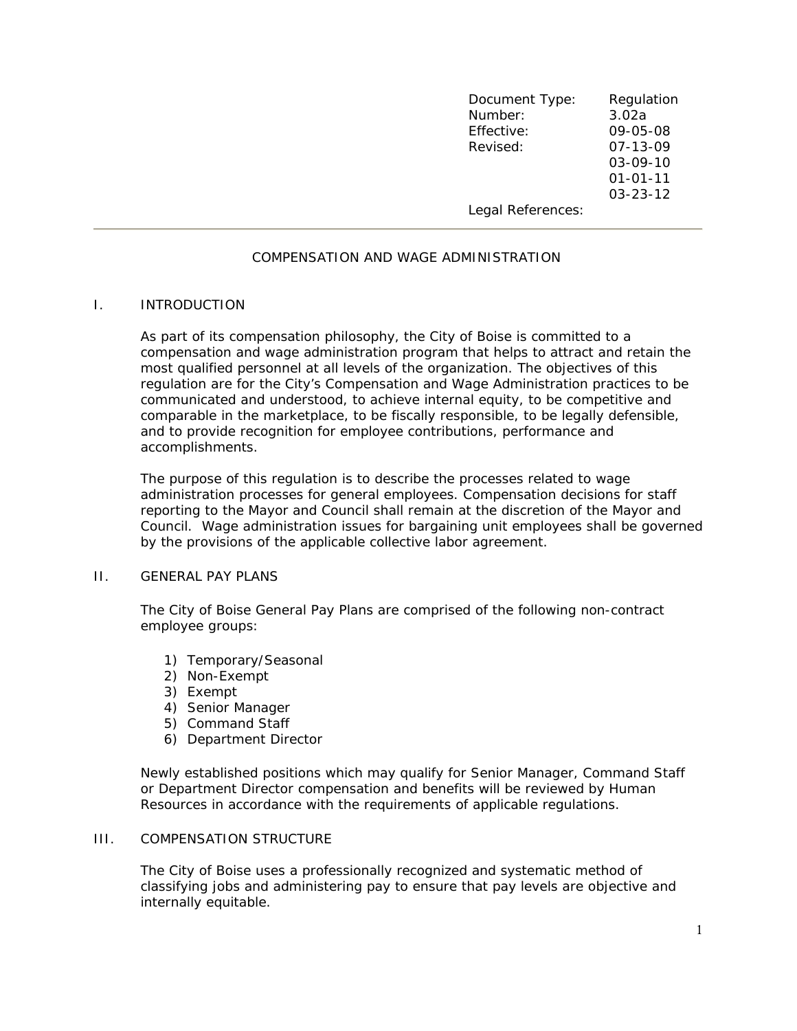| Document Type:    | Regulation     |
|-------------------|----------------|
| Number:           | 3.02a          |
| Effective:        | 09-05-08       |
| Revised:          | 07-13-09       |
|                   | $03 - 09 - 10$ |
|                   | $01 - 01 - 11$ |
|                   | $03 - 23 - 12$ |
| Legal References: |                |

# COMPENSATION AND WAGE ADMINISTRATION

## I. INTRODUCTION

As part of its compensation philosophy, the City of Boise is committed to a compensation and wage administration program that helps to attract and retain the most qualified personnel at all levels of the organization. The objectives of this regulation are for the City's Compensation and Wage Administration practices to be communicated and understood, to achieve internal equity, to be competitive and comparable in the marketplace, to be fiscally responsible, to be legally defensible, and to provide recognition for employee contributions, performance and accomplishments.

The purpose of this regulation is to describe the processes related to wage administration processes for general employees. Compensation decisions for staff reporting to the Mayor and Council shall remain at the discretion of the Mayor and Council. Wage administration issues for bargaining unit employees shall be governed by the provisions of the applicable collective labor agreement.

# II. GENERAL PAY PLANS

The City of Boise General Pay Plans are comprised of the following non-contract employee groups:

- 1) Temporary/Seasonal
- 2) Non-Exempt
- 3) Exempt
- 4) Senior Manager
- 5) Command Staff
- 6) Department Director

Newly established positions which may qualify for Senior Manager, Command Staff or Department Director compensation and benefits will be reviewed by Human Resources in accordance with the requirements of applicable regulations.

### III. COMPENSATION STRUCTURE

The City of Boise uses a professionally recognized and systematic method of classifying jobs and administering pay to ensure that pay levels are objective and internally equitable.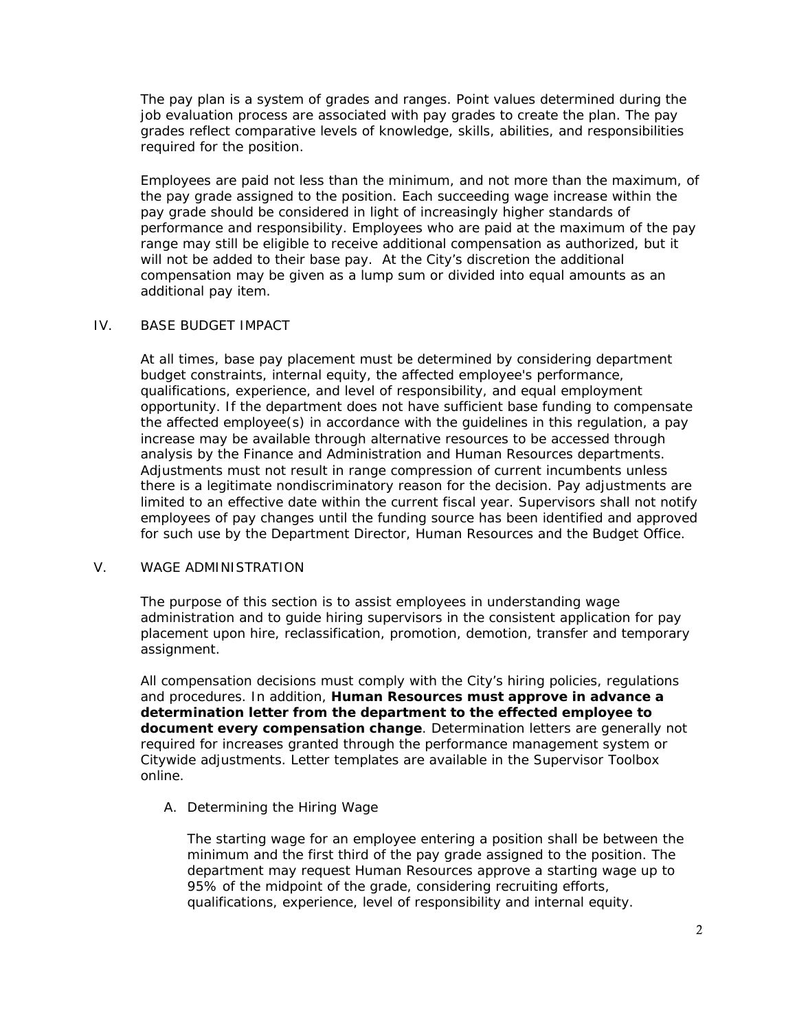The pay plan is a system of grades and ranges. Point values determined during the job evaluation process are associated with pay grades to create the plan. The pay grades reflect comparative levels of knowledge, skills, abilities, and responsibilities required for the position.

Employees are paid not less than the minimum, and not more than the maximum, of the pay grade assigned to the position. Each succeeding wage increase within the pay grade should be considered in light of increasingly higher standards of performance and responsibility. Employees who are paid at the maximum of the pay range may still be eligible to receive additional compensation as authorized, but it will not be added to their base pay. At the City's discretion the additional compensation may be given as a lump sum or divided into equal amounts as an additional pay item.

## IV. BASE BUDGET IMPACT

At all times, base pay placement must be determined by considering department budget constraints, internal equity, the affected employee's performance, qualifications, experience, and level of responsibility, and equal employment opportunity. If the department does not have sufficient base funding to compensate the affected employee(s) in accordance with the guidelines in this regulation, a pay increase may be available through alternative resources to be accessed through analysis by the Finance and Administration and Human Resources departments. Adjustments must not result in range compression of current incumbents unless there is a legitimate nondiscriminatory reason for the decision. Pay adjustments are limited to an effective date within the current fiscal year. Supervisors shall not notify employees of pay changes until the funding source has been identified and approved for such use by the Department Director, Human Resources and the Budget Office.

#### V. WAGE ADMINISTRATION

The purpose of this section is to assist employees in understanding wage administration and to guide hiring supervisors in the consistent application for pay placement upon hire, reclassification, promotion, demotion, transfer and temporary assignment.

All compensation decisions must comply with the City's hiring policies, regulations and procedures. In addition, **Human Resources must approve in advance a determination letter from the department to the effected employee to document every compensation change**. Determination letters are generally not required for increases granted through the performance management system or Citywide adjustments. Letter templates are available in the Supervisor Toolbox online.

A. Determining the Hiring Wage

The starting wage for an employee entering a position shall be between the minimum and the first third of the pay grade assigned to the position. The department may request Human Resources approve a starting wage up to 95% of the midpoint of the grade, considering recruiting efforts, qualifications, experience, level of responsibility and internal equity.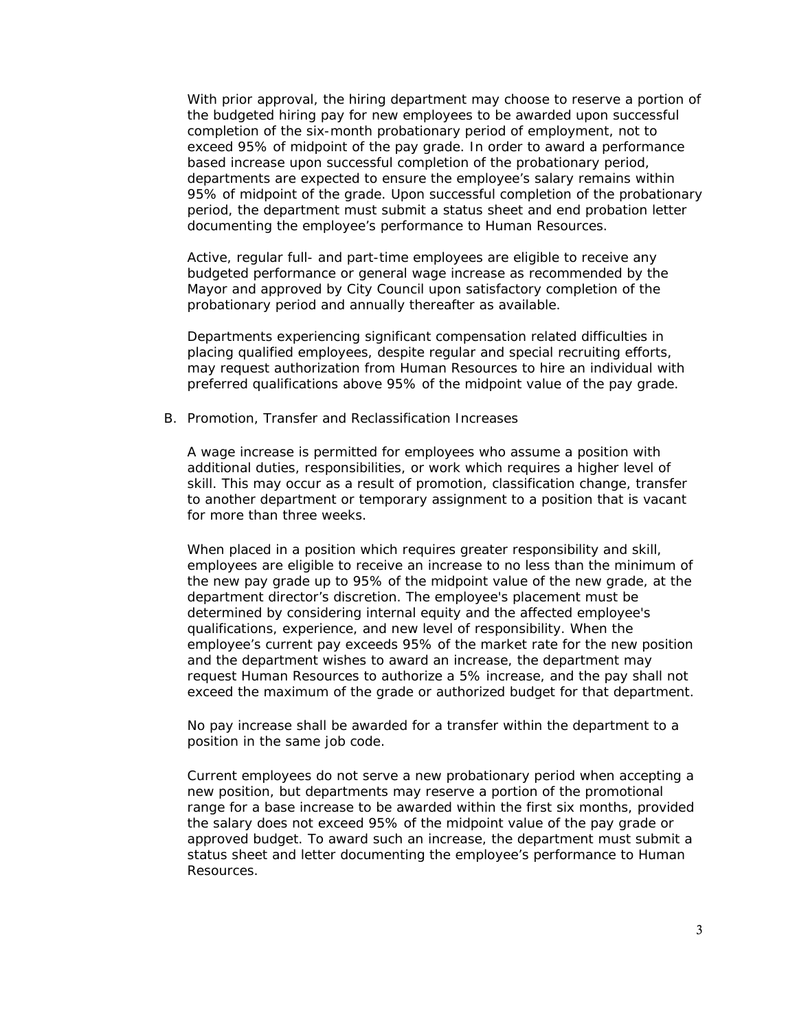With prior approval, the hiring department may choose to reserve a portion of the budgeted hiring pay for new employees to be awarded upon successful completion of the six-month probationary period of employment, not to exceed 95% of midpoint of the pay grade. In order to award a performance based increase upon successful completion of the probationary period, departments are expected to ensure the employee's salary remains within 95% of midpoint of the grade. Upon successful completion of the probationary period, the department must submit a status sheet and end probation letter documenting the employee's performance to Human Resources.

Active, regular full- and part-time employees are eligible to receive any budgeted performance or general wage increase as recommended by the Mayor and approved by City Council upon satisfactory completion of the probationary period and annually thereafter as available.

Departments experiencing significant compensation related difficulties in placing qualified employees, despite regular and special recruiting efforts, may request authorization from Human Resources to hire an individual with preferred qualifications above 95% of the midpoint value of the pay grade.

B. Promotion, Transfer and Reclassification Increases

A wage increase is permitted for employees who assume a position with additional duties, responsibilities, or work which requires a higher level of skill. This may occur as a result of promotion, classification change, transfer to another department or temporary assignment to a position that is vacant for more than three weeks.

When placed in a position which requires greater responsibility and skill, employees are eligible to receive an increase to no less than the minimum of the new pay grade up to 95% of the midpoint value of the new grade, at the department director's discretion. The employee's placement must be determined by considering internal equity and the affected employee's qualifications, experience, and new level of responsibility. When the employee's current pay exceeds 95% of the market rate for the new position and the department wishes to award an increase, the department may request Human Resources to authorize a 5% increase, and the pay shall not exceed the maximum of the grade or authorized budget for that department.

No pay increase shall be awarded for a transfer within the department to a position in the same job code.

Current employees do not serve a new probationary period when accepting a new position, but departments may reserve a portion of the promotional range for a base increase to be awarded within the first six months, provided the salary does not exceed 95% of the midpoint value of the pay grade or approved budget. To award such an increase, the department must submit a status sheet and letter documenting the employee's performance to Human Resources.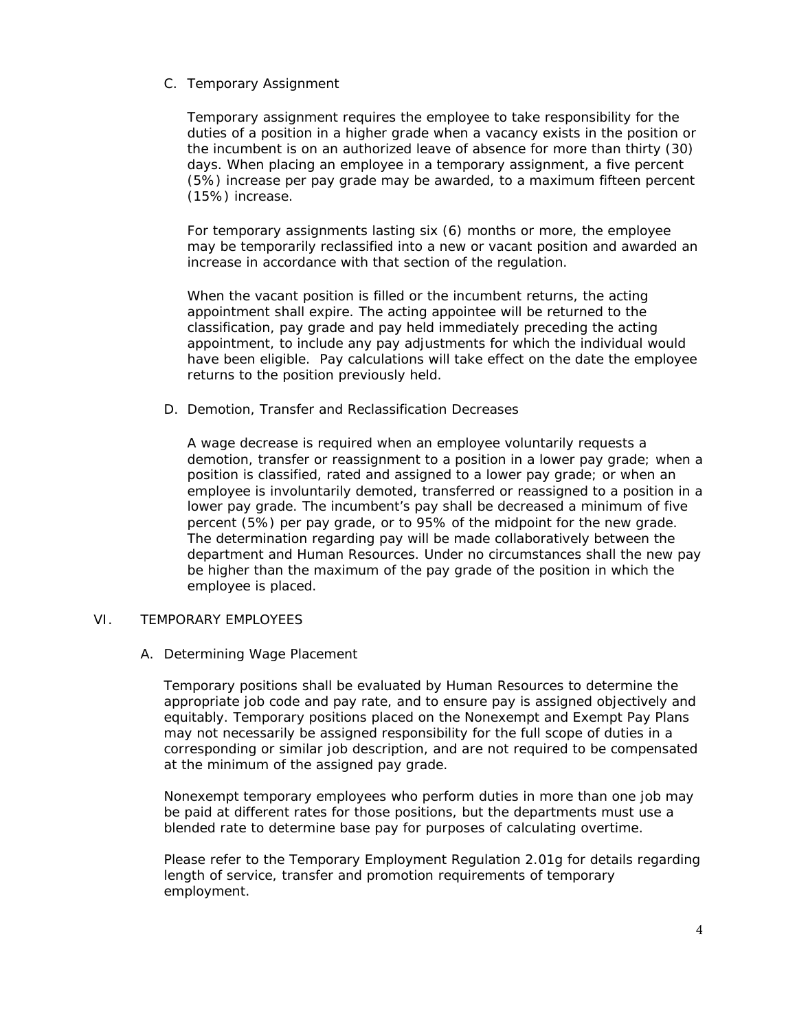C. Temporary Assignment

Temporary assignment requires the employee to take responsibility for the duties of a position in a higher grade when a vacancy exists in the position or the incumbent is on an authorized leave of absence for more than thirty (30) days. When placing an employee in a temporary assignment, a five percent (5%) increase per pay grade may be awarded, to a maximum fifteen percent (15%) increase.

For temporary assignments lasting six (6) months or more, the employee may be temporarily reclassified into a new or vacant position and awarded an increase in accordance with that section of the regulation.

When the vacant position is filled or the incumbent returns, the acting appointment shall expire. The acting appointee will be returned to the classification, pay grade and pay held immediately preceding the acting appointment, to include any pay adjustments for which the individual would have been eligible. Pay calculations will take effect on the date the employee returns to the position previously held.

D. Demotion, Transfer and Reclassification Decreases

A wage decrease is required when an employee voluntarily requests a demotion, transfer or reassignment to a position in a lower pay grade; when a position is classified, rated and assigned to a lower pay grade; or when an employee is involuntarily demoted, transferred or reassigned to a position in a lower pay grade. The incumbent's pay shall be decreased a minimum of five percent (5%) per pay grade, or to 95% of the midpoint for the new grade. The determination regarding pay will be made collaboratively between the department and Human Resources. Under no circumstances shall the new pay be higher than the maximum of the pay grade of the position in which the employee is placed.

#### VI. TEMPORARY EMPLOYEES

#### A. Determining Wage Placement

Temporary positions shall be evaluated by Human Resources to determine the appropriate job code and pay rate, and to ensure pay is assigned objectively and equitably. Temporary positions placed on the Nonexempt and Exempt Pay Plans may not necessarily be assigned responsibility for the full scope of duties in a corresponding or similar job description, and are not required to be compensated at the minimum of the assigned pay grade.

Nonexempt temporary employees who perform duties in more than one job may be paid at different rates for those positions, but the departments must use a blended rate to determine base pay for purposes of calculating overtime.

Please refer to the Temporary Employment Regulation 2.01g for details regarding length of service, transfer and promotion requirements of temporary employment.